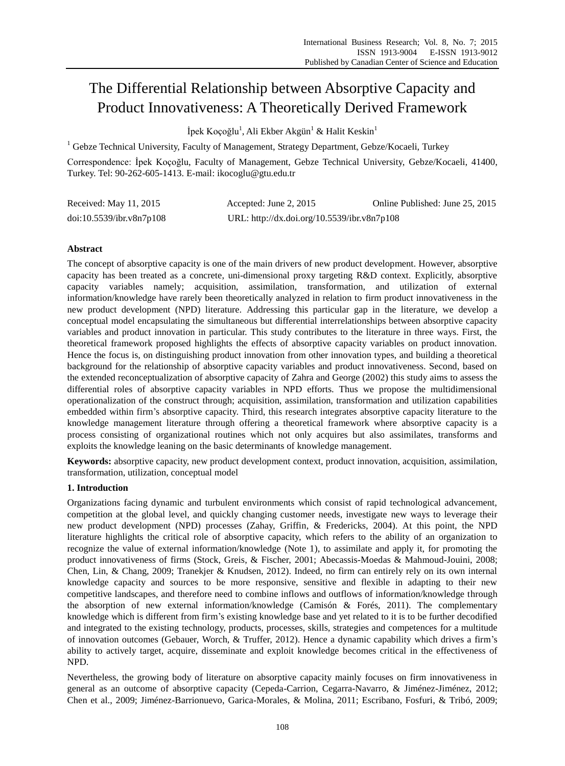# The Differential Relationship between Absorptive Capacity and Product Innovativeness: A Theoretically Derived Framework

İpek Koçoğlu<sup>1</sup>, Ali Ekber Akgün<sup>1</sup> & Halit Keskin<sup>1</sup>

<sup>1</sup> Gebze Technical University, Faculty of Management, Strategy Department, Gebze/Kocaeli, Turkey

Correspondence: İpek Koçoğlu, Faculty of Management, Gebze Technical University, Gebze/Kocaeli, 41400, Turkey. Tel: 90-262-605-1413. E-mail: ikocoglu@gtu.edu.tr

| Received: May 11, 2015   | Accepted: June $2, 2015$                    | Online Published: June 25, 2015 |
|--------------------------|---------------------------------------------|---------------------------------|
| doi:10.5539/ibr.v8n7p108 | URL: http://dx.doi.org/10.5539/ibr.v8n7p108 |                                 |

# **Abstract**

The concept of absorptive capacity is one of the main drivers of new product development. However, absorptive capacity has been treated as a concrete, uni-dimensional proxy targeting R&D context. Explicitly, absorptive capacity variables namely; acquisition, assimilation, transformation, and utilization of external information/knowledge have rarely been theoretically analyzed in relation to firm product innovativeness in the new product development (NPD) literature. Addressing this particular gap in the literature, we develop a conceptual model encapsulating the simultaneous but differential interrelationships between absorptive capacity variables and product innovation in particular. This study contributes to the literature in three ways. First, the theoretical framework proposed highlights the effects of absorptive capacity variables on product innovation. Hence the focus is, on distinguishing product innovation from other innovation types, and building a theoretical background for the relationship of absorptive capacity variables and product innovativeness. Second, based on the extended reconceptualization of absorptive capacity of Zahra and George (2002) this study aims to assess the differential roles of absorptive capacity variables in NPD efforts. Thus we propose the multidimensional operationalization of the construct through; acquisition, assimilation, transformation and utilization capabilities embedded within firm"s absorptive capacity. Third, this research integrates absorptive capacity literature to the knowledge management literature through offering a theoretical framework where absorptive capacity is a process consisting of organizational routines which not only acquires but also assimilates, transforms and exploits the knowledge leaning on the basic determinants of knowledge management.

**Keywords:** absorptive capacity, new product development context, product innovation, acquisition, assimilation, transformation, utilization, conceptual model

# **1. Introduction**

Organizations facing dynamic and turbulent environments which consist of rapid technological advancement, competition at the global level, and quickly changing customer needs, investigate new ways to leverage their new product development (NPD) processes (Zahay, Griffin, & Fredericks, 2004). At this point, the NPD literature highlights the critical role of absorptive capacity, which refers to the ability of an organization to recognize the value of external information/knowledge (Note 1), to assimilate and apply it, for promoting the product innovativeness of firms (Stock, Greis, & Fischer, 2001; Abecassis-Moedas & Mahmoud-Jouini, 2008; Chen, Lin, & Chang, 2009; Tranekjer & Knudsen, 2012). Indeed, no firm can entirely rely on its own internal knowledge capacity and sources to be more responsive, sensitive and flexible in adapting to their new competitive landscapes, and therefore need to combine inflows and outflows of information/knowledge through the absorption of new external information/knowledge (Camisón & Forés, 2011). The complementary knowledge which is different from firm"s existing knowledge base and yet related to it is to be further decodified and integrated to the existing technology, products, processes, skills, strategies and competences for a multitude of innovation outcomes (Gebauer, Worch, & Truffer, 2012). Hence a dynamic capability which drives a firm"s ability to actively target, acquire, disseminate and exploit knowledge becomes critical in the effectiveness of NPD.

Nevertheless, the growing body of literature on absorptive capacity mainly focuses on firm innovativeness in general as an outcome of absorptive capacity (Cepeda-Carrion, Cegarra-Navarro, & Jiménez-Jiménez, 2012; Chen et al., 2009; Jiménez-Barrionuevo, Garica-Morales, & Molina, 2011; Escribano, Fosfuri, & Tribó, 2009;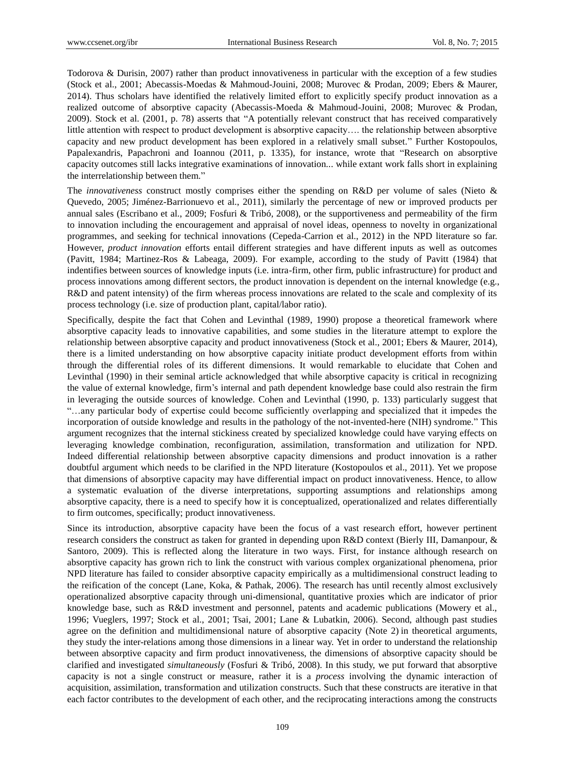Todorova & Durisin, 2007) rather than product innovativeness in particular with the exception of a few studies (Stock et al., 2001; Abecassis-Moedas & Mahmoud-Jouini, 2008; Murovec & Prodan, 2009; Ebers & Maurer, 2014). Thus scholars have identified the relatively limited effort to explicitly specify product innovation as a realized outcome of absorptive capacity (Abecassis-Moeda & Mahmoud-Jouini, 2008; Murovec & Prodan, 2009). Stock et al. (2001, p. 78) asserts that "A potentially relevant construct that has received comparatively little attention with respect to product development is absorptive capacity…. the relationship between absorptive capacity and new product development has been explored in a relatively small subset." Further Kostopoulos, Papalexandris, Papachroni and Ioannou (2011, p. 1335), for instance, wrote that "Research on absorptive capacity outcomes still lacks integrative examinations of innovation... while extant work falls short in explaining the interrelationship between them."

The *innovativeness* construct mostly comprises either the spending on R&D per volume of sales (Nieto & Quevedo, 2005; Jiménez-Barrionuevo et al., 2011), similarly the percentage of new or improved products per annual sales (Escribano et al., 2009; Fosfuri & Tribó, 2008), or the supportiveness and permeability of the firm to innovation including the encouragement and appraisal of novel ideas, openness to novelty in organizational programmes, and seeking for technical innovations (Cepeda-Carrion et al., 2012) in the NPD literature so far. However, *product innovation* efforts entail different strategies and have different inputs as well as outcomes (Pavitt, 1984; Martinez-Ros & Labeaga, 2009). For example, according to the study of Pavitt (1984) that indentifies between sources of knowledge inputs (i.e. intra-firm, other firm, public infrastructure) for product and process innovations among different sectors, the product innovation is dependent on the internal knowledge (e.g., R&D and patent intensity) of the firm whereas process innovations are related to the scale and complexity of its process technology (i.e. size of production plant, capital/labor ratio).

Specifically, despite the fact that Cohen and Levinthal (1989, 1990) propose a theoretical framework where absorptive capacity leads to innovative capabilities, and some studies in the literature attempt to explore the relationship between absorptive capacity and product innovativeness (Stock et al., 2001; Ebers & Maurer, 2014), there is a limited understanding on how absorptive capacity initiate product development efforts from within through the differential roles of its different dimensions. It would remarkable to elucidate that Cohen and Levinthal (1990) in their seminal article acknowledged that while absorptive capacity is critical in recognizing the value of external knowledge, firm"s internal and path dependent knowledge base could also restrain the firm in leveraging the outside sources of knowledge. Cohen and Levinthal (1990, p. 133) particularly suggest that "…any particular body of expertise could become sufficiently overlapping and specialized that it impedes the incorporation of outside knowledge and results in the pathology of the not-invented-here (NIH) syndrome." This argument recognizes that the internal stickiness created by specialized knowledge could have varying effects on leveraging knowledge combination, reconfiguration, assimilation, transformation and utilization for NPD. Indeed differential relationship between absorptive capacity dimensions and product innovation is a rather doubtful argument which needs to be clarified in the NPD literature (Kostopoulos et al., 2011). Yet we propose that dimensions of absorptive capacity may have differential impact on product innovativeness. Hence, to allow a systematic evaluation of the diverse interpretations, supporting assumptions and relationships among absorptive capacity, there is a need to specify how it is conceptualized, operationalized and relates differentially to firm outcomes, specifically; product innovativeness.

Since its introduction, absorptive capacity have been the focus of a vast research effort, however pertinent research considers the construct as taken for granted in depending upon R&D context (Bierly III, Damanpour, & Santoro, 2009). This is reflected along the literature in two ways. First, for instance although research on absorptive capacity has grown rich to link the construct with various complex organizational phenomena, prior NPD literature has failed to consider absorptive capacity empirically as a multidimensional construct leading to the reification of the concept (Lane, Koka, & Pathak, 2006). The research has until recently almost exclusively operationalized absorptive capacity through uni-dimensional, quantitative proxies which are indicator of prior knowledge base, such as R&D investment and personnel, patents and academic publications (Mowery et al., 1996; Vueglers, 1997; Stock et al., 2001; Tsai, 2001; Lane & Lubatkin, 2006). Second, although past studies agree on the definition and multidimensional nature of absorptive capacity (Note 2) in theoretical arguments, they study the inter-relations among those dimensions in a linear way. Yet in order to understand the relationship between absorptive capacity and firm product innovativeness, the dimensions of absorptive capacity should be clarified and investigated *simultaneously* (Fosfuri & Tribó, 2008). In this study, we put forward that absorptive capacity is not a single construct or measure, rather it is a *process* involving the dynamic interaction of acquisition, assimilation, transformation and utilization constructs. Such that these constructs are iterative in that each factor contributes to the development of each other, and the reciprocating interactions among the constructs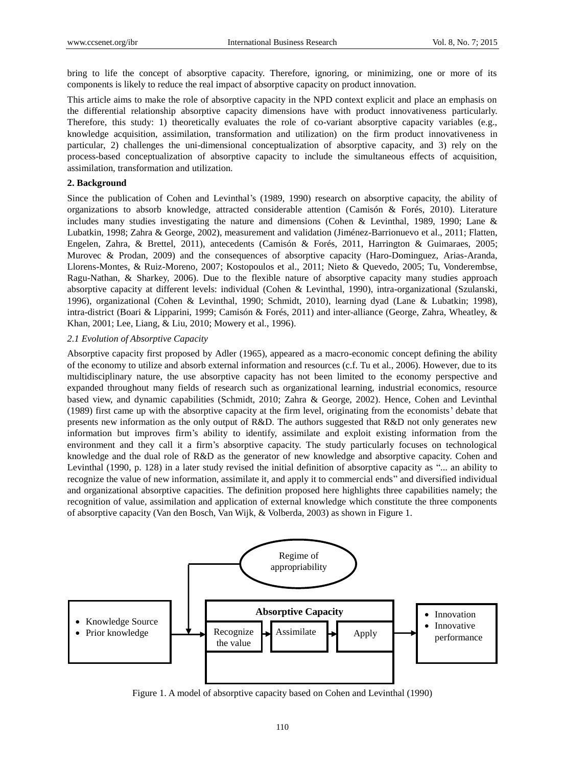bring to life the concept of absorptive capacity. Therefore, ignoring, or minimizing, one or more of its components is likely to reduce the real impact of absorptive capacity on product innovation.

This article aims to make the role of absorptive capacity in the NPD context explicit and place an emphasis on the differential relationship absorptive capacity dimensions have with product innovativeness particularly. Therefore, this study: 1) theoretically evaluates the role of co-variant absorptive capacity variables (e.g., knowledge acquisition, assimilation, transformation and utilization) on the firm product innovativeness in particular, 2) challenges the uni-dimensional conceptualization of absorptive capacity, and 3) rely on the process-based conceptualization of absorptive capacity to include the simultaneous effects of acquisition, assimilation, transformation and utilization.

#### **2. Background**

Since the publication of Cohen and Levinthal"s (1989, 1990) research on absorptive capacity, the ability of organizations to absorb knowledge, attracted considerable attention (Camisón & Forés, 2010). Literature includes many studies investigating the nature and dimensions (Cohen & Levinthal, 1989, 1990; Lane & Lubatkin, 1998; Zahra & George, 2002), measurement and validation (Jiménez-Barrionuevo et al., 2011; Flatten, Engelen, Zahra, & Brettel, 2011), antecedents (Camisón & Forés, 2011, Harrington & Guimaraes, 2005; Murovec & Prodan, 2009) and the consequences of absorptive capacity (Haro-Dominguez, Arias-Aranda, Llorens-Montes, & Ruiz-Moreno, 2007; Kostopoulos et al., 2011; Nieto & Quevedo, 2005; Tu, Vonderembse, Ragu-Nathan, & Sharkey, 2006). Due to the flexible nature of absorptive capacity many studies approach absorptive capacity at different levels: individual (Cohen & Levinthal, 1990), intra-organizational (Szulanski, 1996), organizational (Cohen & Levinthal, 1990; Schmidt, 2010), learning dyad (Lane & Lubatkin; 1998), intra-district (Boari & Lipparini, 1999; Camisón & Forés, 2011) and inter-alliance (George, Zahra, Wheatley, & Khan, 2001; Lee, Liang, & Liu, 2010; Mowery et al., 1996).

#### *2.1 Evolution of Absorptive Capacity*

Absorptive capacity first proposed by Adler (1965), appeared as a macro-economic concept defining the ability of the economy to utilize and absorb external information and resources (c.f. Tu et al., 2006). However, due to its multidisciplinary nature, the use absorptive capacity has not been limited to the economy perspective and expanded throughout many fields of research such as organizational learning, industrial economics, resource based view, and dynamic capabilities (Schmidt, 2010; Zahra & George, 2002). Hence, Cohen and Levinthal (1989) first came up with the absorptive capacity at the firm level, originating from the economists" debate that presents new information as the only output of R&D. The authors suggested that R&D not only generates new information but improves firm"s ability to identify, assimilate and exploit existing information from the environment and they call it a firm"s absorptive capacity. The study particularly focuses on technological knowledge and the dual role of R&D as the generator of new knowledge and absorptive capacity. Cohen and Levinthal (1990, p. 128) in a later study revised the initial definition of absorptive capacity as "... an ability to recognize the value of new information, assimilate it, and apply it to commercial ends" and diversified individual and organizational absorptive capacities. The definition proposed here highlights three capabilities namely; the recognition of value, assimilation and application of external knowledge which constitute the three components of absorptive capacity (Van den Bosch, Van Wijk, & Volberda, 2003) as shown in Figure 1.



Figure 1. A model of absorptive capacity based on Cohen and Levinthal (1990)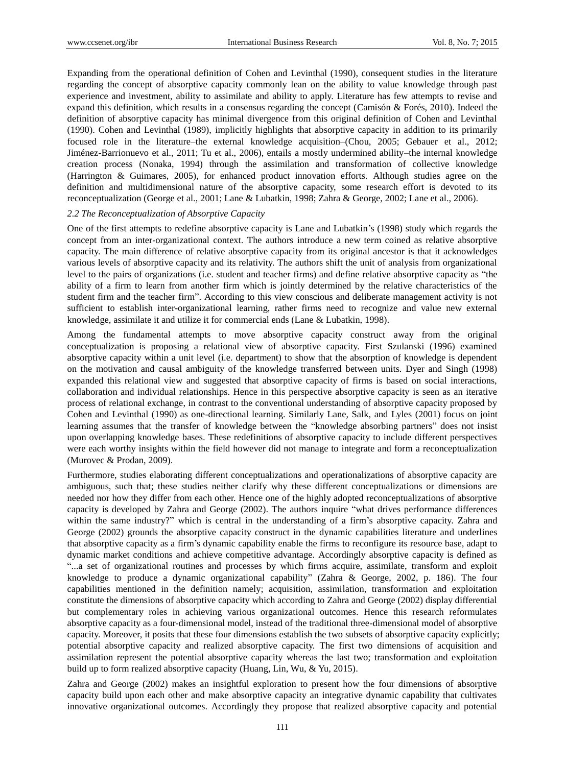Expanding from the operational definition of Cohen and Levinthal (1990), consequent studies in the literature regarding the concept of absorptive capacity commonly lean on the ability to value knowledge through past experience and investment, ability to assimilate and ability to apply. Literature has few attempts to revise and expand this definition, which results in a consensus regarding the concept (Camisón & Forés, 2010). Indeed the definition of absorptive capacity has minimal divergence from this original definition of Cohen and Levinthal (1990). Cohen and Levinthal (1989), implicitly highlights that absorptive capacity in addition to its primarily focused role in the literature–the external knowledge acquisition–(Chou, 2005; Gebauer et al., 2012; Jiménez-Barrionuevo et al., 2011; Tu et al., 2006), entails a mostly undermined ability–the internal knowledge creation process (Nonaka, 1994) through the assimilation and transformation of collective knowledge (Harrington & Guimares, 2005), for enhanced product innovation efforts. Although studies agree on the definition and multidimensional nature of the absorptive capacity, some research effort is devoted to its reconceptualization (George et al., 2001; Lane & Lubatkin, 1998; Zahra & George, 2002; Lane et al., 2006).

#### *2.2 The Reconceptualization of Absorptive Capacity*

One of the first attempts to redefine absorptive capacity is Lane and Lubatkin"s (1998) study which regards the concept from an inter-organizational context. The authors introduce a new term coined as relative absorptive capacity. The main difference of relative absorptive capacity from its original ancestor is that it acknowledges various levels of absorptive capacity and its relativity. The authors shift the unit of analysis from organizational level to the pairs of organizations (i.e. student and teacher firms) and define relative absorptive capacity as "the ability of a firm to learn from another firm which is jointly determined by the relative characteristics of the student firm and the teacher firm". According to this view conscious and deliberate management activity is not sufficient to establish inter-organizational learning, rather firms need to recognize and value new external knowledge, assimilate it and utilize it for commercial ends (Lane & Lubatkin, 1998).

Among the fundamental attempts to move absorptive capacity construct away from the original conceptualization is proposing a relational view of absorptive capacity. First Szulanski (1996) examined absorptive capacity within a unit level (i.e. department) to show that the absorption of knowledge is dependent on the motivation and causal ambiguity of the knowledge transferred between units. Dyer and Singh (1998) expanded this relational view and suggested that absorptive capacity of firms is based on social interactions, collaboration and individual relationships. Hence in this perspective absorptive capacity is seen as an iterative process of relational exchange, in contrast to the conventional understanding of absorptive capacity proposed by Cohen and Levinthal (1990) as one-directional learning. Similarly Lane, Salk, and Lyles (2001) focus on joint learning assumes that the transfer of knowledge between the "knowledge absorbing partners" does not insist upon overlapping knowledge bases. These redefinitions of absorptive capacity to include different perspectives were each worthy insights within the field however did not manage to integrate and form a reconceptualization (Murovec & Prodan, 2009).

Furthermore, studies elaborating different conceptualizations and operationalizations of absorptive capacity are ambiguous, such that; these studies neither clarify why these different conceptualizations or dimensions are needed nor how they differ from each other. Hence one of the highly adopted reconceptualizations of absorptive capacity is developed by Zahra and George (2002). The authors inquire "what drives performance differences within the same industry?" which is central in the understanding of a firm"s absorptive capacity. Zahra and George (2002) grounds the absorptive capacity construct in the dynamic capabilities literature and underlines that absorptive capacity as a firm"s dynamic capability enable the firms to reconfigure its resource base, adapt to dynamic market conditions and achieve competitive advantage. Accordingly absorptive capacity is defined as "...a set of organizational routines and processes by which firms acquire, assimilate, transform and exploit knowledge to produce a dynamic organizational capability" (Zahra & George, 2002, p. 186). The four capabilities mentioned in the definition namely; acquisition, assimilation, transformation and exploitation constitute the dimensions of absorptive capacity which according to Zahra and George (2002) display differential but complementary roles in achieving various organizational outcomes. Hence this research reformulates absorptive capacity as a four-dimensional model, instead of the traditional three-dimensional model of absorptive capacity. Moreover, it posits that these four dimensions establish the two subsets of absorptive capacity explicitly; potential absorptive capacity and realized absorptive capacity. The first two dimensions of acquisition and assimilation represent the potential absorptive capacity whereas the last two; transformation and exploitation build up to form realized absorptive capacity (Huang, Lin, Wu, & Yu, 2015).

Zahra and George (2002) makes an insightful exploration to present how the four dimensions of absorptive capacity build upon each other and make absorptive capacity an integrative dynamic capability that cultivates innovative organizational outcomes. Accordingly they propose that realized absorptive capacity and potential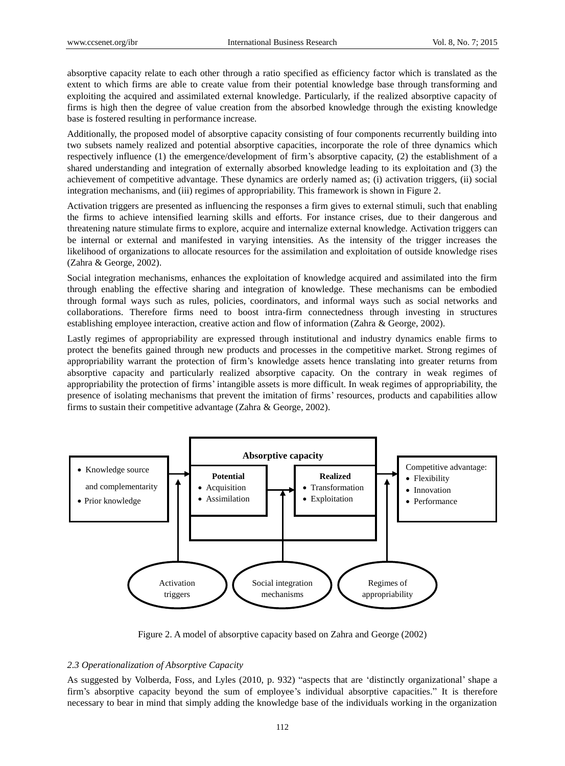absorptive capacity relate to each other through a ratio specified as efficiency factor which is translated as the extent to which firms are able to create value from their potential knowledge base through transforming and exploiting the acquired and assimilated external knowledge. Particularly, if the realized absorptive capacity of firms is high then the degree of value creation from the absorbed knowledge through the existing knowledge base is fostered resulting in performance increase.

Additionally, the proposed model of absorptive capacity consisting of four components recurrently building into two subsets namely realized and potential absorptive capacities, incorporate the role of three dynamics which respectively influence (1) the emergence/development of firm"s absorptive capacity, (2) the establishment of a shared understanding and integration of externally absorbed knowledge leading to its exploitation and (3) the achievement of competitive advantage. These dynamics are orderly named as; (i) activation triggers, (ii) social integration mechanisms, and (iii) regimes of appropriability. This framework is shown in Figure 2.

Activation triggers are presented as influencing the responses a firm gives to external stimuli, such that enabling the firms to achieve intensified learning skills and efforts. For instance crises, due to their dangerous and threatening nature stimulate firms to explore, acquire and internalize external knowledge. Activation triggers can be internal or external and manifested in varying intensities. As the intensity of the trigger increases the likelihood of organizations to allocate resources for the assimilation and exploitation of outside knowledge rises (Zahra & George, 2002).

Social integration mechanisms, enhances the exploitation of knowledge acquired and assimilated into the firm through enabling the effective sharing and integration of knowledge. These mechanisms can be embodied through formal ways such as rules, policies, coordinators, and informal ways such as social networks and collaborations. Therefore firms need to boost intra-firm connectedness through investing in structures establishing employee interaction, creative action and flow of information (Zahra & George, 2002).

Lastly regimes of appropriability are expressed through institutional and industry dynamics enable firms to protect the benefits gained through new products and processes in the competitive market. Strong regimes of appropriability warrant the protection of firm"s knowledge assets hence translating into greater returns from absorptive capacity and particularly realized absorptive capacity. On the contrary in weak regimes of appropriability the protection of firms" intangible assets is more difficult. In weak regimes of appropriability, the presence of isolating mechanisms that prevent the imitation of firms" resources, products and capabilities allow firms to sustain their competitive advantage (Zahra & George, 2002).



Figure 2. A model of absorptive capacity based on Zahra and George (2002)

#### *2.3 Operationalization of Absorptive Capacity*

As suggested by Volberda, Foss, and Lyles (2010, p. 932) "aspects that are "distinctly organizational" shape a firm"s absorptive capacity beyond the sum of employee"s individual absorptive capacities." It is therefore necessary to bear in mind that simply adding the knowledge base of the individuals working in the organization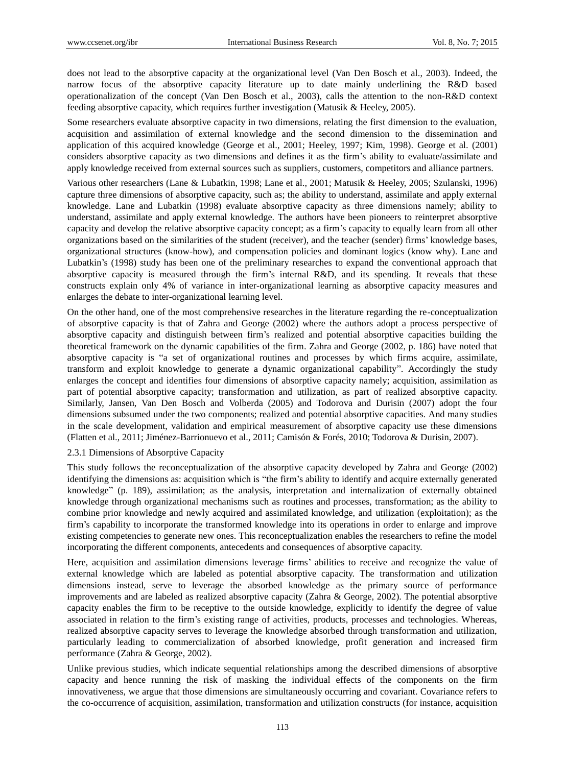does not lead to the absorptive capacity at the organizational level (Van Den Bosch et al., 2003). Indeed, the narrow focus of the absorptive capacity literature up to date mainly underlining the R&D based operationalization of the concept (Van Den Bosch et al., 2003), calls the attention to the non-R&D context feeding absorptive capacity, which requires further investigation (Matusik & Heeley, 2005).

Some researchers evaluate absorptive capacity in two dimensions, relating the first dimension to the evaluation, acquisition and assimilation of external knowledge and the second dimension to the dissemination and application of this acquired knowledge (George et al., 2001; Heeley, 1997; Kim, 1998). George et al. (2001) considers absorptive capacity as two dimensions and defines it as the firm"s ability to evaluate/assimilate and apply knowledge received from external sources such as suppliers, customers, competitors and alliance partners.

Various other researchers (Lane & Lubatkin, 1998; Lane et al., 2001; Matusik & Heeley, 2005; Szulanski, 1996) capture three dimensions of absorptive capacity, such as; the ability to understand, assimilate and apply external knowledge. Lane and Lubatkin (1998) evaluate absorptive capacity as three dimensions namely; ability to understand, assimilate and apply external knowledge. The authors have been pioneers to reinterpret absorptive capacity and develop the relative absorptive capacity concept; as a firm"s capacity to equally learn from all other organizations based on the similarities of the student (receiver), and the teacher (sender) firms" knowledge bases, organizational structures (know-how), and compensation policies and dominant logics (know why). Lane and Lubatkin"s (1998) study has been one of the preliminary researches to expand the conventional approach that absorptive capacity is measured through the firm"s internal R&D, and its spending. It reveals that these constructs explain only 4% of variance in inter-organizational learning as absorptive capacity measures and enlarges the debate to inter-organizational learning level.

On the other hand, one of the most comprehensive researches in the literature regarding the re-conceptualization of absorptive capacity is that of Zahra and George (2002) where the authors adopt a process perspective of absorptive capacity and distinguish between firm"s realized and potential absorptive capacities building the theoretical framework on the dynamic capabilities of the firm. Zahra and George (2002, p. 186) have noted that absorptive capacity is "a set of organizational routines and processes by which firms acquire, assimilate, transform and exploit knowledge to generate a dynamic organizational capability". Accordingly the study enlarges the concept and identifies four dimensions of absorptive capacity namely; acquisition, assimilation as part of potential absorptive capacity; transformation and utilization, as part of realized absorptive capacity. Similarly, Jansen, Van Den Bosch and Volberda (2005) and Todorova and Durisin (2007) adopt the four dimensions subsumed under the two components; realized and potential absorptive capacities. And many studies in the scale development, validation and empirical measurement of absorptive capacity use these dimensions (Flatten et al., 2011; Jiménez-Barrionuevo et al., 2011; Camisón & Forés, 2010; Todorova & Durisin, 2007).

### 2.3.1 Dimensions of Absorptive Capacity

This study follows the reconceptualization of the absorptive capacity developed by Zahra and George (2002) identifying the dimensions as: acquisition which is "the firm"s ability to identify and acquire externally generated knowledge" (p. 189), assimilation; as the analysis, interpretation and internalization of externally obtained knowledge through organizational mechanisms such as routines and processes, transformation; as the ability to combine prior knowledge and newly acquired and assimilated knowledge, and utilization (exploitation); as the firm"s capability to incorporate the transformed knowledge into its operations in order to enlarge and improve existing competencies to generate new ones. This reconceptualization enables the researchers to refine the model incorporating the different components, antecedents and consequences of absorptive capacity.

Here, acquisition and assimilation dimensions leverage firms" abilities to receive and recognize the value of external knowledge which are labeled as potential absorptive capacity. The transformation and utilization dimensions instead, serve to leverage the absorbed knowledge as the primary source of performance improvements and are labeled as realized absorptive capacity (Zahra & George, 2002). The potential absorptive capacity enables the firm to be receptive to the outside knowledge, explicitly to identify the degree of value associated in relation to the firm"s existing range of activities, products, processes and technologies. Whereas, realized absorptive capacity serves to leverage the knowledge absorbed through transformation and utilization, particularly leading to commercialization of absorbed knowledge, profit generation and increased firm performance (Zahra & George, 2002).

Unlike previous studies, which indicate sequential relationships among the described dimensions of absorptive capacity and hence running the risk of masking the individual effects of the components on the firm innovativeness, we argue that those dimensions are simultaneously occurring and covariant. Covariance refers to the co-occurrence of acquisition, assimilation, transformation and utilization constructs (for instance, acquisition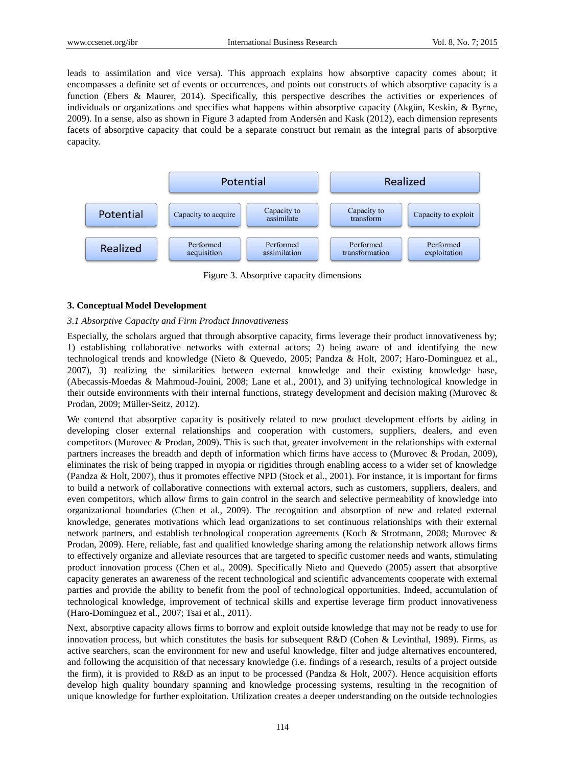leads to assimilation and vice versa). This approach explains how absorptive capacity comes about; it encompasses a definite set of events or occurrences, and points out constructs of which absorptive capacity is a function (Ebers & Maurer, 2014). Specifically, this perspective describes the activities or experiences of individuals or organizations and specifies what happens within absorptive capacity (Akgün, Keskin, & Byrne, 2009). In a sense, also as shown in Figure 3 adapted from Andersén and Kask (2012), each dimension represents facets of absorptive capacity that could be a separate construct but remain as the integral parts of absorptive capacity.



Figure 3. Absorptive capacity dimensions

## **3. Conceptual Model Development**

## *3.1 Absorptive Capacity and Firm Product Innovativeness*

Especially, the scholars argued that through absorptive capacity, firms leverage their product innovativeness by; 1) establishing collaborative networks with external actors; 2) being aware of and identifying the new technological trends and knowledge (Nieto & Quevedo, 2005; Pandza & Holt, 2007; Haro-Dominguez et al., 2007), 3) realizing the similarities between external knowledge and their existing knowledge base, (Abecassis-Moedas & Mahmoud-Jouini, 2008; Lane et al., 2001), and 3) unifying technological knowledge in their outside environments with their internal functions, strategy development and decision making (Murovec & Prodan, 2009; Müller-Seitz, 2012).

We contend that absorptive capacity is positively related to new product development efforts by aiding in developing closer external relationships and cooperation with customers, suppliers, dealers, and even competitors (Murovec & Prodan, 2009). This is such that, greater involvement in the relationships with external partners increases the breadth and depth of information which firms have access to (Murovec & Prodan, 2009), eliminates the risk of being trapped in myopia or rigidities through enabling access to a wider set of knowledge (Pandza & Holt, 2007), thus it promotes effective NPD (Stock et al., 2001). For instance, it is important for firms to build a network of collaborative connections with external actors, such as customers, suppliers, dealers, and even competitors, which allow firms to gain control in the search and selective permeability of knowledge into organizational boundaries (Chen et al., 2009). The recognition and absorption of new and related external knowledge, generates motivations which lead organizations to set continuous relationships with their external network partners, and establish technological cooperation agreements (Koch & Strotmann, 2008; Murovec & Prodan, 2009). Here, reliable, fast and qualified knowledge sharing among the relationship network allows firms to effectively organize and alleviate resources that are targeted to specific customer needs and wants, stimulating product innovation process (Chen et al., 2009). Specifically Nieto and Quevedo (2005) assert that absorptive capacity generates an awareness of the recent technological and scientific advancements cooperate with external parties and provide the ability to benefit from the pool of technological opportunities. Indeed, accumulation of technological knowledge, improvement of technical skills and expertise leverage firm product innovativeness (Haro-Dominguez et al., 2007; Tsai et al., 2011).

Next, absorptive capacity allows firms to borrow and exploit outside knowledge that may not be ready to use for innovation process, but which constitutes the basis for subsequent R&D (Cohen & Levinthal, 1989). Firms, as active searchers, scan the environment for new and useful knowledge, filter and judge alternatives encountered, and following the acquisition of that necessary knowledge (i.e. findings of a research, results of a project outside the firm), it is provided to  $R&D$  as an input to be processed (Pandza  $&Holt, 2007$ ). Hence acquisition efforts develop high quality boundary spanning and knowledge processing systems, resulting in the recognition of unique knowledge for further exploitation. Utilization creates a deeper understanding on the outside technologies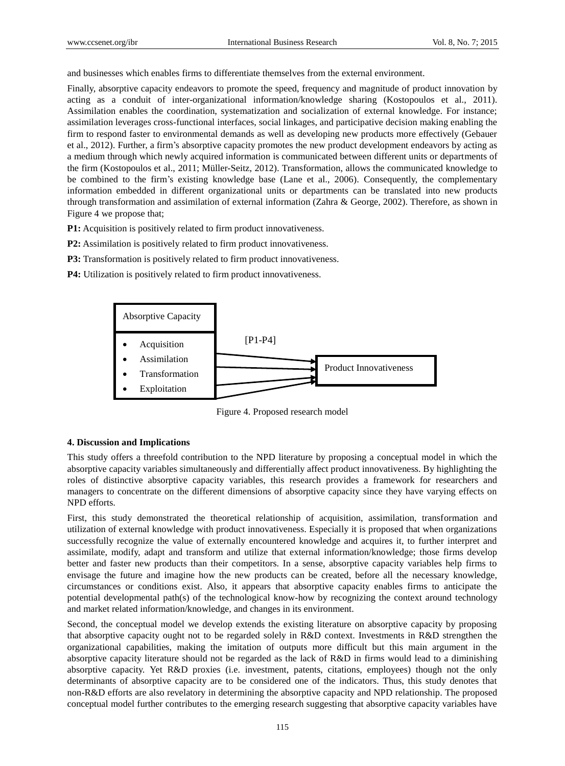and businesses which enables firms to differentiate themselves from the external environment.

Finally, absorptive capacity endeavors to promote the speed, frequency and magnitude of product innovation by acting as a conduit of inter-organizational information/knowledge sharing (Kostopoulos et al., 2011). Assimilation enables the coordination, systematization and socialization of external knowledge. For instance; assimilation leverages cross-functional interfaces, social linkages, and participative decision making enabling the firm to respond faster to environmental demands as well as developing new products more effectively (Gebauer et al., 2012). Further, a firm"s absorptive capacity promotes the new product development endeavors by acting as a medium through which newly acquired information is communicated between different units or departments of the firm (Kostopoulos et al., 2011; Müller-Seitz, 2012). Transformation, allows the communicated knowledge to be combined to the firm"s existing knowledge base (Lane et al., 2006). Consequently, the complementary information embedded in different organizational units or departments can be translated into new products through transformation and assimilation of external information (Zahra & George, 2002). Therefore, as shown in Figure 4 we propose that;

**P1:** Acquisition is positively related to firm product innovativeness.

**P2:** Assimilation is positively related to firm product innovativeness.

**P3:** Transformation is positively related to firm product innovativeness.

P4: Utilization is positively related to firm product innovativeness.



Figure 4. Proposed research model

## **4. Discussion and Implications**

This study offers a threefold contribution to the NPD literature by proposing a conceptual model in which the absorptive capacity variables simultaneously and differentially affect product innovativeness. By highlighting the roles of distinctive absorptive capacity variables, this research provides a framework for researchers and managers to concentrate on the different dimensions of absorptive capacity since they have varying effects on NPD efforts.

First, this study demonstrated the theoretical relationship of acquisition, assimilation, transformation and utilization of external knowledge with product innovativeness. Especially it is proposed that when organizations successfully recognize the value of externally encountered knowledge and acquires it, to further interpret and assimilate, modify, adapt and transform and utilize that external information/knowledge; those firms develop better and faster new products than their competitors. In a sense, absorptive capacity variables help firms to envisage the future and imagine how the new products can be created, before all the necessary knowledge, circumstances or conditions exist. Also, it appears that absorptive capacity enables firms to anticipate the potential developmental path(s) of the technological know-how by recognizing the context around technology and market related information/knowledge, and changes in its environment.

Second, the conceptual model we develop extends the existing literature on absorptive capacity by proposing that absorptive capacity ought not to be regarded solely in R&D context. Investments in R&D strengthen the organizational capabilities, making the imitation of outputs more difficult but this main argument in the absorptive capacity literature should not be regarded as the lack of R&D in firms would lead to a diminishing absorptive capacity. Yet R&D proxies (i.e. investment, patents, citations, employees) though not the only determinants of absorptive capacity are to be considered one of the indicators. Thus, this study denotes that non-R&D efforts are also revelatory in determining the absorptive capacity and NPD relationship. The proposed conceptual model further contributes to the emerging research suggesting that absorptive capacity variables have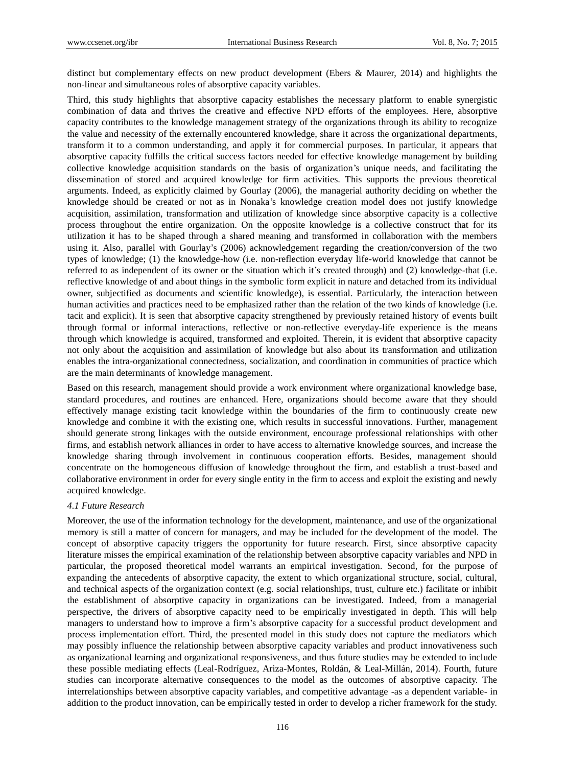distinct but complementary effects on new product development (Ebers & Maurer, 2014) and highlights the non-linear and simultaneous roles of absorptive capacity variables.

Third, this study highlights that absorptive capacity establishes the necessary platform to enable synergistic combination of data and thrives the creative and effective NPD efforts of the employees. Here, absorptive capacity contributes to the knowledge management strategy of the organizations through its ability to recognize the value and necessity of the externally encountered knowledge, share it across the organizational departments, transform it to a common understanding, and apply it for commercial purposes. In particular, it appears that absorptive capacity fulfills the critical success factors needed for effective knowledge management by building collective knowledge acquisition standards on the basis of organization"s unique needs, and facilitating the dissemination of stored and acquired knowledge for firm activities. This supports the previous theoretical arguments. Indeed, as explicitly claimed by Gourlay (2006), the managerial authority deciding on whether the knowledge should be created or not as in Nonaka"s knowledge creation model does not justify knowledge acquisition, assimilation, transformation and utilization of knowledge since absorptive capacity is a collective process throughout the entire organization. On the opposite knowledge is a collective construct that for its utilization it has to be shaped through a shared meaning and transformed in collaboration with the members using it. Also, parallel with Gourlay"s (2006) acknowledgement regarding the creation/conversion of the two types of knowledge; (1) the knowledge-how (i.e. non-reflection everyday life-world knowledge that cannot be referred to as independent of its owner or the situation which it's created through) and (2) knowledge-that (i.e. reflective knowledge of and about things in the symbolic form explicit in nature and detached from its individual owner, subjectified as documents and scientific knowledge), is essential. Particularly, the interaction between human activities and practices need to be emphasized rather than the relation of the two kinds of knowledge (i.e. tacit and explicit). It is seen that absorptive capacity strengthened by previously retained history of events built through formal or informal interactions, reflective or non-reflective everyday-life experience is the means through which knowledge is acquired, transformed and exploited. Therein, it is evident that absorptive capacity not only about the acquisition and assimilation of knowledge but also about its transformation and utilization enables the intra-organizational connectedness, socialization, and coordination in communities of practice which are the main determinants of knowledge management.

Based on this research, management should provide a work environment where organizational knowledge base, standard procedures, and routines are enhanced. Here, organizations should become aware that they should effectively manage existing tacit knowledge within the boundaries of the firm to continuously create new knowledge and combine it with the existing one, which results in successful innovations. Further, management should generate strong linkages with the outside environment, encourage professional relationships with other firms, and establish network alliances in order to have access to alternative knowledge sources, and increase the knowledge sharing through involvement in continuous cooperation efforts. Besides, management should concentrate on the homogeneous diffusion of knowledge throughout the firm, and establish a trust-based and collaborative environment in order for every single entity in the firm to access and exploit the existing and newly acquired knowledge.

#### *4.1 Future Research*

Moreover, the use of the information technology for the development, maintenance, and use of the organizational memory is still a matter of concern for managers, and may be included for the development of the model. The concept of absorptive capacity triggers the opportunity for future research. First, since absorptive capacity literature misses the empirical examination of the relationship between absorptive capacity variables and NPD in particular, the proposed theoretical model warrants an empirical investigation. Second, for the purpose of expanding the antecedents of absorptive capacity, the extent to which organizational structure, social, cultural, and technical aspects of the organization context (e.g. social relationships, trust, culture etc.) facilitate or inhibit the establishment of absorptive capacity in organizations can be investigated. Indeed, from a managerial perspective, the drivers of absorptive capacity need to be empirically investigated in depth. This will help managers to understand how to improve a firm"s absorptive capacity for a successful product development and process implementation effort. Third, the presented model in this study does not capture the mediators which may possibly influence the relationship between absorptive capacity variables and product innovativeness such as organizational learning and organizational responsiveness, and thus future studies may be extended to include these possible mediating effects (Leal-Rodríguez, Ariza-Montes, Roldán, & Leal-Millán, 2014). Fourth, future studies can incorporate alternative consequences to the model as the outcomes of absorptive capacity. The interrelationships between absorptive capacity variables, and competitive advantage -as a dependent variable- in addition to the product innovation, can be empirically tested in order to develop a richer framework for the study.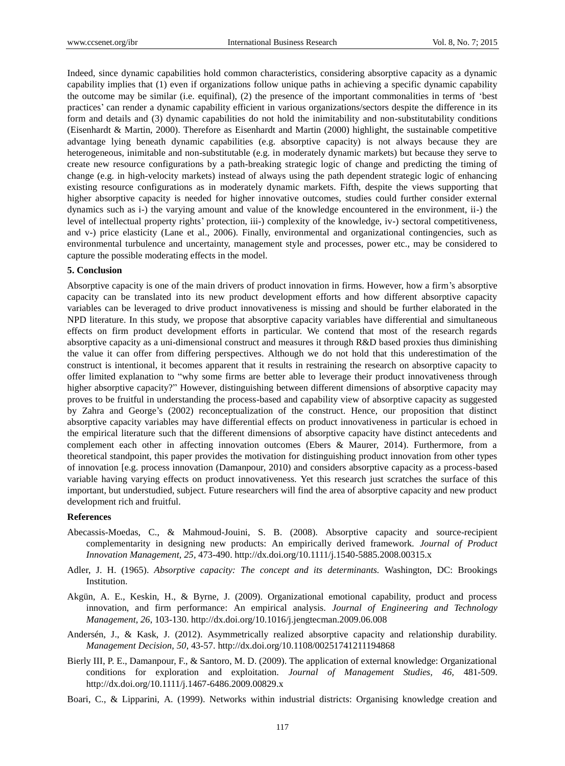Indeed, since dynamic capabilities hold common characteristics, considering absorptive capacity as a dynamic capability implies that (1) even if organizations follow unique paths in achieving a specific dynamic capability the outcome may be similar (i.e. equifinal), (2) the presence of the important commonalities in terms of "best practices" can render a dynamic capability efficient in various organizations/sectors despite the difference in its form and details and (3) dynamic capabilities do not hold the inimitability and non-substitutability conditions (Eisenhardt & Martin, 2000). Therefore as Eisenhardt and Martin (2000) highlight, the sustainable competitive advantage lying beneath dynamic capabilities (e.g. absorptive capacity) is not always because they are heterogeneous, inimitable and non-substitutable (e.g. in moderately dynamic markets) but because they serve to create new resource configurations by a path-breaking strategic logic of change and predicting the timing of change (e.g. in high-velocity markets) instead of always using the path dependent strategic logic of enhancing existing resource configurations as in moderately dynamic markets. Fifth, despite the views supporting that higher absorptive capacity is needed for higher innovative outcomes, studies could further consider external dynamics such as i-) the varying amount and value of the knowledge encountered in the environment, ii-) the level of intellectual property rights" protection, iii-) complexity of the knowledge, iv-) sectoral competitiveness, and v-) price elasticity (Lane et al., 2006). Finally, environmental and organizational contingencies, such as environmental turbulence and uncertainty, management style and processes, power etc., may be considered to capture the possible moderating effects in the model.

#### **5. Conclusion**

Absorptive capacity is one of the main drivers of product innovation in firms. However, how a firm"s absorptive capacity can be translated into its new product development efforts and how different absorptive capacity variables can be leveraged to drive product innovativeness is missing and should be further elaborated in the NPD literature. In this study, we propose that absorptive capacity variables have differential and simultaneous effects on firm product development efforts in particular. We contend that most of the research regards absorptive capacity as a uni-dimensional construct and measures it through R&D based proxies thus diminishing the value it can offer from differing perspectives. Although we do not hold that this underestimation of the construct is intentional, it becomes apparent that it results in restraining the research on absorptive capacity to offer limited explanation to "why some firms are better able to leverage their product innovativeness through higher absorptive capacity?" However, distinguishing between different dimensions of absorptive capacity may proves to be fruitful in understanding the process-based and capability view of absorptive capacity as suggested by Zahra and George"s (2002) reconceptualization of the construct. Hence, our proposition that distinct absorptive capacity variables may have differential effects on product innovativeness in particular is echoed in the empirical literature such that the different dimensions of absorptive capacity have distinct antecedents and complement each other in affecting innovation outcomes (Ebers & Maurer, 2014). Furthermore, from a theoretical standpoint, this paper provides the motivation for distinguishing product innovation from other types of innovation [e.g. process innovation (Damanpour, 2010) and considers absorptive capacity as a process-based variable having varying effects on product innovativeness. Yet this research just scratches the surface of this important, but understudied, subject. Future researchers will find the area of absorptive capacity and new product development rich and fruitful.

#### **References**

- Abecassis-Moedas, C., & Mahmoud-Jouini, S. B. (2008). Absorptive capacity and source-recipient complementarity in designing new products: An empirically derived framework. *Journal of Product Innovation Management, 25,* 473-490. http://dx.doi.org/10.1111/j.1540-5885.2008.00315.x
- Adler, J. H. (1965). *Absorptive capacity: The concept and its determinants.* Washington, DC: Brookings Institution.
- Akgün, A. E., Keskin, H., & Byrne, J. (2009). Organizational emotional capability, product and process innovation, and firm performance: An empirical analysis. *Journal of Engineering and Technology Management, 26*, 103-130. http://dx.doi.org/10.1016/j.jengtecman.2009.06.008
- Andersén, J., & Kask, J. (2012). Asymmetrically realized absorptive capacity and relationship durability. *Management Decision, 50*, 43-57[. http://dx.doi.org/10.1108/00251741211194868](http://dx.doi.org/10.1108/00251741211194868)
- Bierly III, P. E., Damanpour, F., & Santoro, M. D. (2009). The application of external knowledge: Organizational conditions for exploration and exploitation. *Journal of Management Studies, 46,* 481-509. http://dx.doi.org/10.1111/j.1467-6486.2009.00829.x
- Boari, C., & Lipparini, A. (1999). Networks within industrial districts: Organising knowledge creation and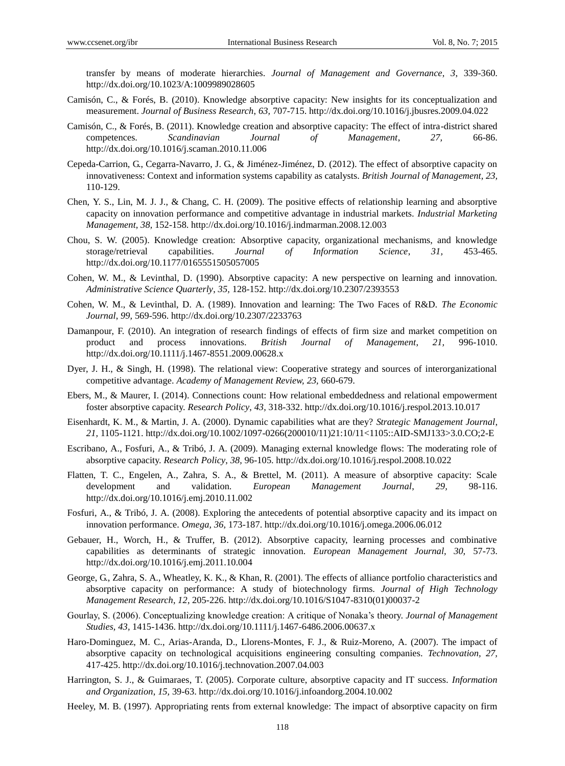transfer by means of moderate hierarchies. *Journal of Management and Governance*, *3*, 339-360. http://dx.doi.org/10.1023/A:1009989028605

- Camisón, C., & Forés, B. (2010). Knowledge absorptive capacity: New insights for its conceptualization and measurement. *Journal of Business Research*, *63,* 707-715. http://dx.doi.org/10.1016/j.jbusres.2009.04.022
- Camisón, C., & Forés, B. (2011). Knowledge creation and absorptive capacity: The effect of intra-district shared competences. *Scandinavian Journal of Management*, *27,* 66-86. http://dx.doi.org/10.1016/j.scaman.2010.11.006
- Cepeda-Carrion, G., Cegarra-Navarro, J. G., & Jiménez-Jiménez, D. (2012). The effect of absorptive capacity on innovativeness: Context and information systems capability as catalysts. *British Journal of Management, 23,* 110-129.
- Chen, Y. S., Lin, M. J. J., & Chang, C. H. (2009). The positive effects of relationship learning and absorptive capacity on innovation performance and competitive advantage in industrial markets. *Industrial Marketing Management, 38,* 152-158. http://dx.doi.org/10.1016/j.indmarman.2008.12.003
- Chou, S. W. (2005). Knowledge creation: Absorptive capacity, organizational mechanisms, and knowledge storage/retrieval capabilities. *Journal of Information Science*, *31,* 453-465. http://dx.doi.org/10.1177/0165551505057005
- Cohen, W. M., & Levinthal, D. (1990). Absorptive capacity: A new perspective on learning and innovation. *Administrative Science Quarterly*, *35,* 128-152. http://dx.doi.org/10.2307/2393553
- Cohen, W. M., & Levinthal, D. A. (1989). Innovation and learning: The Two Faces of R&D. *The Economic Journal*, *99,* 569-596. http://dx.doi.org/10.2307/2233763
- Damanpour, F. (2010). An integration of research findings of effects of firm size and market competition on product and process innovations. *British Journal of Management*, *21,* 996-1010. http://dx.doi.org/10.1111/j.1467-8551.2009.00628.x
- Dyer, J. H., & Singh, H. (1998). The relational view: Cooperative strategy and sources of interorganizational competitive advantage. *Academy of Management Review, 23,* 660-679.
- Ebers, M., & Maurer, I. (2014). Connections count: How relational embeddedness and relational empowerment foster absorptive capacity. *Research Policy*, *43,* 318-332. http://dx.doi.org/10.1016/j.respol.2013.10.017
- Eisenhardt, K. M., & Martin, J. A. (2000). Dynamic capabilities what are they? *Strategic Management Journal*, *21,* 1105-1121. http://dx.doi.org/10.1002/1097-0266(200010/11)21:10/11<1105::AID-SMJ133>3.0.CO;2-E
- Escribano, A., Fosfuri, A., & Tribó, J. A. (2009). Managing external knowledge flows: The moderating role of absorptive capacity. *Research Policy*, *38,* 96-105. http://dx.doi.org/10.1016/j.respol.2008.10.022
- Flatten, T. C., Engelen, A., Zahra, S. A., & Brettel, M. (2011). A measure of absorptive capacity: Scale development and validation. *European Management Journal*, *29,* 98-116. http://dx.doi.org/10.1016/j.emj.2010.11.002
- Fosfuri, A., & Tribó, J. A. (2008). Exploring the antecedents of potential absorptive capacity and its impact on innovation performance. *Omega, 36,* 173-187. http://dx.doi.org/10.1016/j.omega.2006.06.012
- Gebauer, H., Worch, H., & Truffer, B. (2012). Absorptive capacity, learning processes and combinative capabilities as determinants of strategic innovation. *European Management Journal, 30,* 57-73. http://dx.doi.org/10.1016/j.emj.2011.10.004
- George, G., Zahra, S. A., Wheatley, K. K., & Khan, R. (2001). The effects of alliance portfolio characteristics and absorptive capacity on performance: A study of biotechnology firms. *Journal of High Technology Management Research*, *12*, 205-226. http://dx.doi.org/10.1016/S1047-8310(01)00037-2
- Gourlay, S. (2006). Conceptualizing knowledge creation: A critique of Nonaka"s theory. *Journal of Management Studies, 43,* 1415-1436. http://dx.doi.org/10.1111/j.1467-6486.2006.00637.x
- Haro-Dominguez, M. C., Arias-Aranda, D., Llorens-Montes, F. J., & Ruiz-Moreno, A. (2007). The impact of absorptive capacity on technological acquisitions engineering consulting companies. *Technovation, 27,* 417-425. http://dx.doi.org/10.1016/j.technovation.2007.04.003
- Harrington, S. J., & Guimaraes, T. (2005). Corporate culture, absorptive capacity and IT success. *Information and Organization*, *15,* 39-63. http://dx.doi.org/10.1016/j.infoandorg.2004.10.002
- Heeley, M. B. (1997). Appropriating rents from external knowledge: The impact of absorptive capacity on firm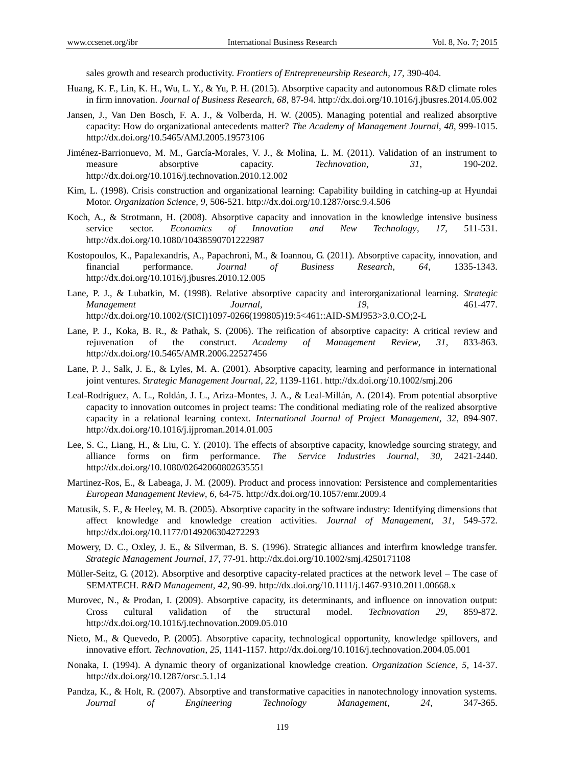sales growth and research productivity. *Frontiers of Entrepreneurship Research, 17,* 390-404.

- Huang, K. F., Lin, K. H., Wu, L. Y., & Yu, P. H. (2015). Absorptive capacity and autonomous R&D climate roles in firm innovation. *Journal of Business Research, 68,* 87-94. http://dx.doi.org/10.1016/j.jbusres.2014.05.002
- Jansen, J., Van Den Bosch, F. A. J., & Volberda, H. W. (2005). Managing potential and realized absorptive capacity: How do organizational antecedents matter? *The Academy of Management Journal*, *48,* 999-1015. http://dx.doi.org/10.5465/AMJ.2005.19573106
- Jiménez-Barrionuevo, M. M., García-Morales, V. J., & Molina, L. M. (2011). Validation of an instrument to measure absorptive capacity. *Technovation*,  $31$ , 190-202. http://dx.doi.org/10.1016/j.technovation.2010.12.002
- Kim, L. (1998). Crisis construction and organizational learning: Capability building in catching-up at Hyundai Motor. *Organization Science, 9*, 506-521. http://dx.doi.org/10.1287/orsc.9.4.506
- Koch, A., & Strotmann, H. (2008). Absorptive capacity and innovation in the knowledge intensive business service sector. *Economics of Innovation and New Technology*, *17,* 511-531. http://dx.doi.org/10.1080/10438590701222987
- Kostopoulos, K., Papalexandris, A., Papachroni, M., & Ioannou, G. (2011). Absorptive capacity, innovation, and financial performance. *Journal of Business Research*, *64*, 1335-1343. http://dx.doi.org/10.1016/j.jbusres.2010.12.005
- Lane, P. J., & Lubatkin, M. (1998). Relative absorptive capacity and interorganizational learning. *Strategic Management Journal, 19,* 461-477. http://dx.doi.org/10.1002/(SICI)1097-0266(199805)19:5<461::AID-SMJ953>3.0.CO;2-L
- Lane, P. J., Koka, B. R., & Pathak, S. (2006). The reification of absorptive capacity: A critical review and rejuvenation of the construct. *Academy of Management Review*, *31,* 833-863. http://dx.doi.org/10.5465/AMR.2006.22527456
- Lane, P. J., Salk, J. E., & Lyles, M. A. (2001). Absorptive capacity, learning and performance in international joint ventures. *Strategic Management Journal*, *22,* 1139-1161. http://dx.doi.org/10.1002/smj.206
- Leal-Rodríguez, A. L., Roldán, J. L., Ariza-Montes, J. A., & Leal-Millán, A. (2014). From potential absorptive capacity to innovation outcomes in project teams: The conditional mediating role of the realized absorptive capacity in a relational learning context. *International Journal of Project Management, 32,* 894-907. http://dx.doi.org/10.1016/j.ijproman.2014.01.005
- Lee, S. C., Liang, H., & Liu, C. Y. (2010). The effects of absorptive capacity, knowledge sourcing strategy, and alliance forms on firm performance. *The Service Industries Journal*, *30,* 2421-2440. http://dx.doi.org/10.1080/02642060802635551
- Martinez-Ros, E., & Labeaga, J. M. (2009). Product and process innovation: Persistence and complementarities *European Management Review*, *6,* 64-75. http://dx.doi.org/10.1057/emr.2009.4
- Matusik, S. F., & Heeley, M. B. (2005). Absorptive capacity in the software industry: Identifying dimensions that affect knowledge and knowledge creation activities. *Journal of Management*, *31,* 549-572. http://dx.doi.org/10.1177/0149206304272293
- Mowery, D. C., Oxley, J. E., & Silverman, B. S. (1996). Strategic alliances and interfirm knowledge transfer. *Strategic Management Journal*, *17*, 77-91. http://dx.doi.org/10.1002/smj.4250171108
- Müller-Seitz, G. (2012). Absorptive and desorptive capacity-related practices at the network level The case of SEMATECH. *R&D Management, 42,* 90-99. http://dx.doi.org/10.1111/j.1467-9310.2011.00668.x
- Murovec, N., & Prodan, I. (2009). Absorptive capacity, its determinants, and influence on innovation output: Cross cultural validation of the structural model. *Technovation 29,* 859-872. http://dx.doi.org/10.1016/j.technovation.2009.05.010
- Nieto, M., & Quevedo, P. (2005). Absorptive capacity, technological opportunity, knowledge spillovers, and innovative effort. *Technovation*, *25,* 1141-1157. http://dx.doi.org/10.1016/j.technovation.2004.05.001
- Nonaka, I. (1994). A dynamic theory of organizational knowledge creation. *Organization Science*, *5,* 14-37. http://dx.doi.org/10.1287/orsc.5.1.14
- Pandza, K., & Holt, R. (2007). Absorptive and transformative capacities in nanotechnology innovation systems. *Journal of Engineering Technology Management, 24,* 347-365.